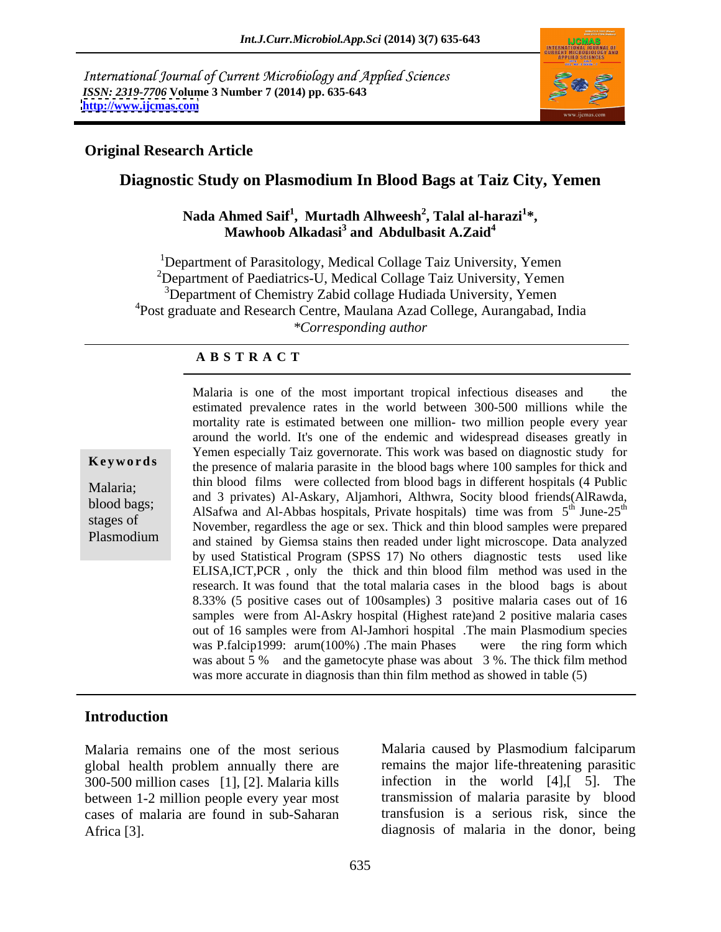International Journal of Current Microbiology and Applied Sciences *ISSN: 2319-7706* **Volume 3 Number 7 (2014) pp. 635-643 <http://www.ijcmas.com>**



### **Original Research Article**

# **Diagnostic Study on Plasmodium In Blood Bags at Taiz City, Yemen**

#### Nada Ahmed Saif<sup>1</sup>, Murtadh Alhweesh<sup>2</sup>, Talal al-harazi<sup>1</sup>\*,<br>Mawhoob Alkadasi<sup>3</sup> and Abdulbasit A.Zaid<sup>4</sup> **, Talal al-harazi<sup>1</sup> and Abdulbasit A.Zaid<sup>4</sup>**

1Department of Parasitology, Medical Collage Taiz University, Yemen  $2D$ epartment of Paediatrics-U, Medical Collage Taiz University, Yemen <sup>3</sup>Department of Chemistry Zabid collage Hudiada University, Yemen <sup>4</sup>Post graduate and Research Centre, Maulana Azad College, Aurangabad, India *\*Corresponding author* 

#### **A B S T R A C T**

**Keywords** the presence of malaria parasite in the blood bags where 100 samples for thick and Malaria; and 3 privates) Al-Askary, Aljamhori, Althwra, Socity blood friends(AlRawda, and 3 privates) Al-Askary, Aljamhori, Althwra, Socity blood friends(AlRawda, blood bags; and 3 privates) Al-Askary, Aljannon, Annwia, Socry 6000 fields (AlNawda, Also, AlSafwa and Al-Abbas hospitals, Private hospitals) time was from  $5^{th}$  June-25<sup>th</sup> Shood bags,<br>
AlSafwa and Al-Abbas hospitals, Private hospitals) time was from  $5^{\text{th}}$  June-25<sup>th</sup><br>
Stages of November, regardless the age or sex. Thick and thin blood samples were prepared Plasmodium and stained by Giemsa stains then readed under light microscope. Data analyzed Malaria is one of the most important tropical infectious diseases and the estimated prevalence rates in the world between 300-500 millions while the mortality rate is estimated between one million- two million people every year around the world. It's one of the endemic and widespread diseases greatly in Yemen especially Taiz governorate. This work was based on diagnostic study for thin blood films were collected from blood bags in different hospitals (4 Public  $\mu$ <sup>th</sup> June-25<sup>th</sup> by used Statistical Program (SPSS 17) No others diagnostic tests used like ELISA,ICT,PCR , only the thick and thin blood film method was used in the research. It was found that the total malaria cases in the blood bags is about 8.33% (5 positive cases out of 100samples) 3 positive malaria cases out of 16 samples were from Al-Askry hospital (Highest rate)and 2 positive malaria cases out of 16 samples were from Al-Jamhori hospital .The main Plasmodium species was P.falcip1999: arum(100%). The main Phases were the ring form which was about 5 % and the gametocyte phase was about 3 %. The thick film method was more accurate in diagnosis than thin film method as showed in table (5)

### **Introduction**

global health problem annually there are 300-500 million cases [1], [2]. Malaria kills between 1-2 million people every year most cases of malaria are found in sub-Saharan Malaria remains one of the most serious<br>
global health problem annually there are<br>
300-500 million cases [1], [2]. Malaria kills<br>
between 1-2 million people every year most<br>
cases of malaria are found in sub-Saharan<br>
Afric

Malaria remains one of the most serious Malaria caused by Plasmodium falciparum remains the major life-threatening parasitic infection in the world [4],[ 5]. The transmission of malaria parasite by blood transfusion is a serious risk, since the diagnosis of malaria in the donor, being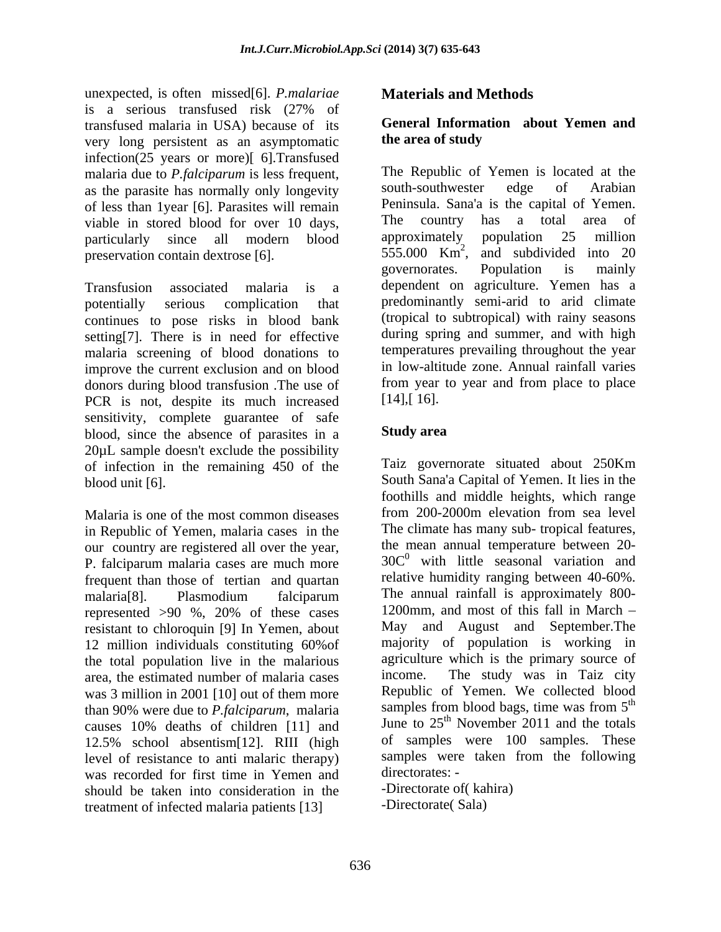unexpected, is often missed[6]. *P.malariae* is a serious transfused risk (27% of transfused malaria in USA) because of its<br>very long persistent as an asymptomatic the area of study very long persistent as an asymptomatic infection(25 years or more)[ 6].Transfused malaria due to *P*. *falciparum* is less frequent, The Republic of Yemen is located at the as the parasite has normally only longevity south-southwester edge of Arabian as the parasite has normally only longevity of less than 1year [6]. Parasites will remain a peninsula. Sana'a is the capital of Yemen.<br>
viable in stored blood for over 10 days a country has a total area of viable in stored blood for over 10 days,<br>
The country has a total area of<br>
narticularly since all modern blood approximately population 25 million

Transfusion associated malaria is a dependent on agriculture. Yemen has a potentially serious complication that predominantly semi-arid to arid climate continues to pose risks in blood bank setting[7]. There is in need for effective malaria screening of blood donations to improve the current exclusion and on blood donors during blood transfusion .The use of from year<br>PCR is not despite its much increased [14], [16]. PCR is not, despite its much increased sensitivity, complete guarantee of safe<br>blood since the absence of parasites in a **Study area** blood, since the absence of parasites in a 20µL sample doesn't exclude the possibility of infection in the remaining 450 of the blood unit [6]. South Sana'a Capital of Yemen. It lies in the

in Republic of Yemen, malaria cases in the our country are registered all over the year, P. falciparum malaria cases are much more frequent than those of tertian and quartan represented >90 %, 20% of these cases resistant to chloroquin [9] In Yemen, about 12 million individuals constituting 60%of the total population live in the malarious agriculture area the estimated number of malaria cases income. area, the estimated number of malaria cases was 3 million in 2001 [10] out of them more<br>than 90% were due to *P falcinarum* malaria samples from blood bags, time was from 5<sup>th</sup> than 90% were due to *P.falciparum*, malaria 12.5% school absentism[12]. RIII (high level of resistance to anti-malaric therapy) samples were<br>was recorded for first time in Yemen and directorates: was recorded for first time in Yemen and should be taken into consideration in the treatment of infected malaria patients [13]

# **Materials and Methods**

### **General Information about Yemen and the area of study**

particularly since all modern blood approximately population 25 million preservation contain dextrose [6].  $555.000 \text{ Km}^2$ , and subdivided into 20 The Republic of Yemen is located at the south-southwester edge of Arabian Peninsula. Sana'a is the capital of Yemen. The country has a total area of approximately population 25 million governorates. Population is mainly (tropical to subtropical) with rainy seasons during spring and summer, and with high temperatures prevailing throughout the year in low-altitude zone. Annual rainfall varies from year to year and from place to place [14],[ 16].

## **Study area**

Malaria is one of the most common diseases from 200-2000m elevation from sea level malaria[8]. Plasmodium falciparum The annual rainfall is approximately 800causes 10% deaths of children [11] and June to  $25<sup>th</sup>$  November 2011 and the totals Taiz governorate situated about 250Km foothills and middle heights, which range from 200-2000m elevation from sea level The climate has many sub- tropical features, the mean annual temperature between 20-  $30C<sup>0</sup>$  with little seasonal variation and relative humidity ranging between 40-60%. The annual rainfall is approximately 800- 1200mm, and most of this fall in March May and August and September.The majority of population is working in agriculture which is the primary source of The study was in Taiz city Republic of Yemen. We collected blood samples from blood bags, time was from 5<sup>th</sup> th June to  $25<sup>th</sup>$  November 2011 and the totals of samples were 100 samples. These samples were taken from the following directorates: -

-Directorate of( kahira) -Directorate( Sala)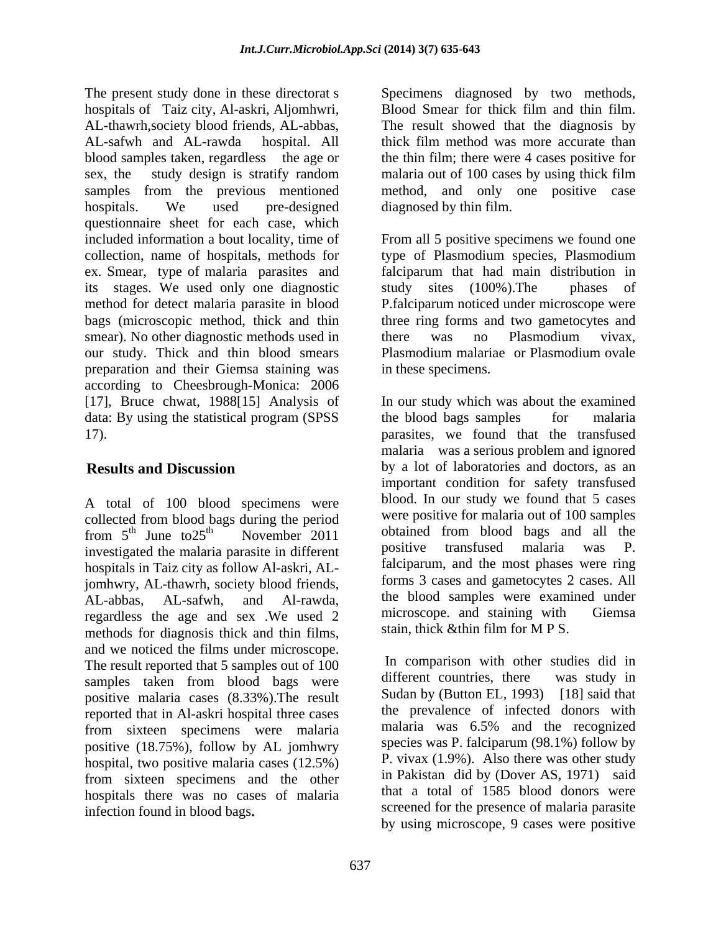The present study done in these directorat s Specimens diagnosed by two methods, hospitals of Taiz city, Al-askri, Aljomhwri, AL-thawrh,society blood friends, AL-abbas, The result showed that the diagnosis by AL-safwh and AL-rawda hospital. All thick film method was more accurate than blood samples taken, regardless the age or the thin film; there were 4 cases positive for sex, the study design is stratify random malariaout of 100 cases by using thick film samples from the previous mentioned method, and only one positive case hospitals. We used pre-designed diagnosed by thin film. questionnaire sheet for each case, which included information a bout locality, time of From all 5 positive specimens we found one collection, name of hospitals, methods for type of Plasmodium species, Plasmodium ex. Smear, type of malaria parasites and falciparum that had main distribution in its stages. We used only one diagnostic study sites (100%). The phases of its stages. We used only one diagnostic method for detect malaria parasite in blood P.falciparum noticed under microscope were bags (microscopic method, thick and thin three ring forms and two gametocytes and smear). No other diagnostic methods used in there was no Plasmodium vivax, our study. Thick and thin blood smears Plasmodium malariae or Plasmodium ovale preparation and their Giemsa staining was according to Cheesbrough-Monica: 2006 [17], Bruce chwat, 1988[15] Analysis of In our study which was about the examined data: By using the statistical program (SPSS the blood bags samples for malaria 17). parasites, we found that the transfused

A total of 100 blood specimens were collected from blood bags during the period<br>from  $5^{\text{th}}$  June to  $25^{\text{th}}$  November 2011 investigated the malaria parasite in different positive transfused malaria was P. hospitals in Taiz city as follow Al-askri, ALjomhwry, AL-thawrh, society blood friends, regardless the age and sex . We used 2 microscope. and staining with Giemsa methods for diagnosis thick and thin films, and we noticed the films under microscope.<br>The result reported that 5 samples out of 100 ln comparison with other studies did in The result reported that 5 samples out of 100 have not mean with other studies did in<br>samples taken from blood bags were different countries, there was study in samples taken from blood bags were positive malaria cases (8.33%).The result reported that in Al-askri hospital three cases from sixteen specimens were malaria positive (18.75%), follow by AL jomhwry hospital, two positive malaria cases (12.5%) from sixteen specimens and the other hospitals there was no cases of malaria infection found in blood bags

Blood Smear for thick film and thin film. diagnosed by thin film.

falciparum that had main distribution in study sites  $(100\%)$ . The there was no Plasmodium vivax, Plasmodium malariae or Plasmodium ovale in these specimens.

**Results and Discussion** by a lot of laboratories and doctors, as an from  $5^{\text{th}}$  June to  $25^{\text{th}}$  November 2011 obtained from blood bags and all the  $\mu$  June to 25<sup>th</sup> November 2011 obtained from blood bags and all the AL-abbas, AL-safwh, and Al-rawda, the blood samples were examined under the blood bags samples for malaria malaria was a serious problem and ignored important condition for safety transfused blood. In our study we found that 5 cases were positive for malaria out of 100 samples positive transfused malaria was P. falciparum, and the most phases were ring forms 3 cases and gametocytes 2 cases. All microscope. and staining with stain, thick &thin film for M P S.

> In comparison with other studies did in different countries, there was study in Sudan by (Button EL, 1993) [18] said that the prevalence of infected donors with malaria was 6.5% and the recognized species was P. falciparum (98.1%) follow by P. vivax (1.9%). Also there was other study in Pakistan did by (Dover AS, 1971) said that a total of 1585 blood donors were screened for the presence of malaria parasite by using microscope, 9 cases were positive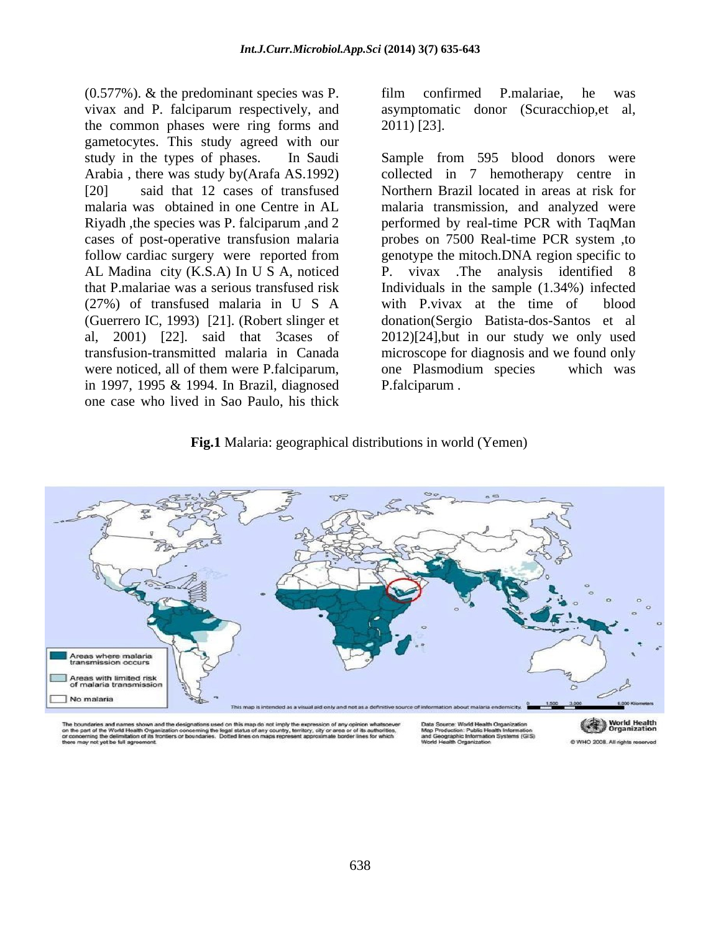(0.577%). & the predominant species was P. vivax and P. falciparum respectively, and asymptomatic donor (Scuracchiop,et al, the common phases were ring forms and 2011) [23]. gametocytes. This study agreed with our follow cardiac surgery were reported from AL Madina city (K.S.A) In U S A, noticed (27%) of transfused malaria in U S A (Guerrero IC, 1993) [21]. (Robert slinger et were noticed, all of them were P.falciparum, one Plasmodium species which was in 1997, 1995 & 1994. In Brazil, diagnosed one case who lived in Sao Paulo, his thick

film confirmed P.malariae, he was 2011) [23].

study in the types of phases. In Saudi Sample from 595 blood donors were Arabia, there was study by (Arafa AS.1992) collected in 7 hemotherapy centre in [20] said that 12 cases of transfused Northern Brazil located in areas at risk for malaria was obtained in one Centre in AL malaria transmission, and analyzed were Riyadh ,the species was P. falciparum ,and 2 performed by real-time PCR with TaqMan cases of post-operative transfusion malaria probes on 7500 Real-time PCR system ,to that P.malariae was a serious transfused risk Individuals in the sample (1.34%) infected al, 2001) [22]. said that 3cases of 2012)[24],but in our study we only used transfusion-transmitted malaria in Canada microscope for diagnosis and we found only genotype the mitoch.DNA region specific to vivax .The analysis identified 8 with P.vivax at the time of donation(Sergio Batista-dos-Santos et al one Plasmodium species which was P.falciparum .

#### **Fig.1** Malaria: geographical distributions in world (Yemen)



**World Health**<br>Organization C WHO 2008. All rights re-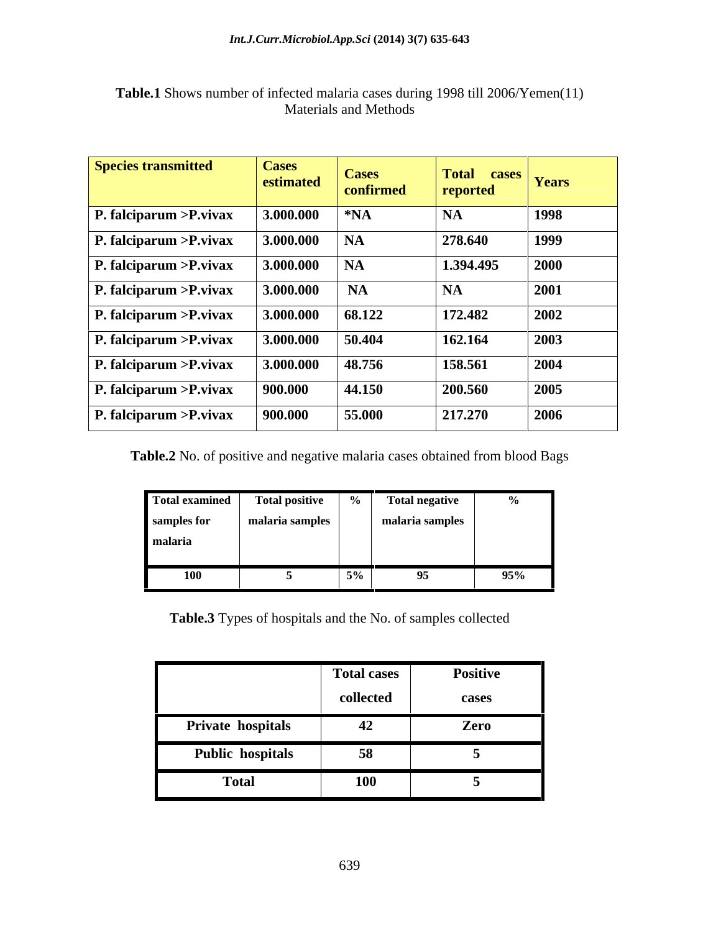| <b>Species transmitted</b>       | <b>Cases</b><br>estimated | <b>Cases</b><br>confirmed | Total cases Years<br>reported |      |
|----------------------------------|---------------------------|---------------------------|-------------------------------|------|
| $\vert$ P. falciparum > P. vivax | 3.000.000                 | $ *NA$                    | <b>NA</b>                     | 1998 |
| $\vert$ P. falciparum > P. vivax | 3.000.000                 | NA                        | 278.640                       | 1999 |
| $\vert$ P. falciparum > P. vivax | 3.000.000                 | NA                        | 1.394.495                     | 2000 |
| $\vert$ P. falciparum > P. vivax | 3.000.000                 | $\overline{\mathbf{A}}$   | $\mathsf{I}$ NA               | 2001 |
| $\vert$ P. falciparum > P. vivax | 3.000.000                 | 68.122                    | 172.482                       | 2002 |
| $\vert$ P. falciparum > P. vivax | 3.000.000                 | 50.404                    | 162.164                       | 2003 |
| $\vert$ P. falciparum > P. vivax | 3.000.000                 | 48.756                    | 158.561                       | 2004 |
| $\vert$ P. falciparum > P. vivax | 900.000                   | 44.150                    | 200.560                       | 2005 |
| $\vert$ P. falciparum > P. vivax | 900.000                   | 55.000                    | 217.270                       | 2006 |

### **Table.1** Shows number of infected malaria cases during 1998 till 2006/Yemen(11) Materials and Methods

**Table.2** No. of positive and negative malaria cases obtained from blood Bags

|                   | Total examined   Total positive                                                                                 |       | <b>Total negative</b>                                                                                         |     |
|-------------------|-----------------------------------------------------------------------------------------------------------------|-------|---------------------------------------------------------------------------------------------------------------|-----|
| samples for       | the contract of the contract of the<br>anafia saluum                                                            |       | the company's company's company's                                                                             |     |
| malaria           |                                                                                                                 |       |                                                                                                               |     |
|                   | the contract of the contract of the contract of the contract of the contract of the contract of the contract of |       | 1000 - 1000 - 1000 - 1000 - 1000 - 1000 - 1000 - 1000 - 1000 - 1000 - 1000 - 1000 - 1000 - 1000 - 1000 - 1000 |     |
| 100<br><b>TAA</b> |                                                                                                                 | $5\%$ |                                                                                                               | 95% |

**Table.3** Types of hospitals and the No. of samples collected

|                         | <b>Total cases</b> | Positive |
|-------------------------|--------------------|----------|
|                         | collected          | cases    |
| Private hospitals       | 42                 | Zero     |
| <b>Public hospitals</b> | 58                 |          |
| <b>Total</b>            | <b>100</b>         |          |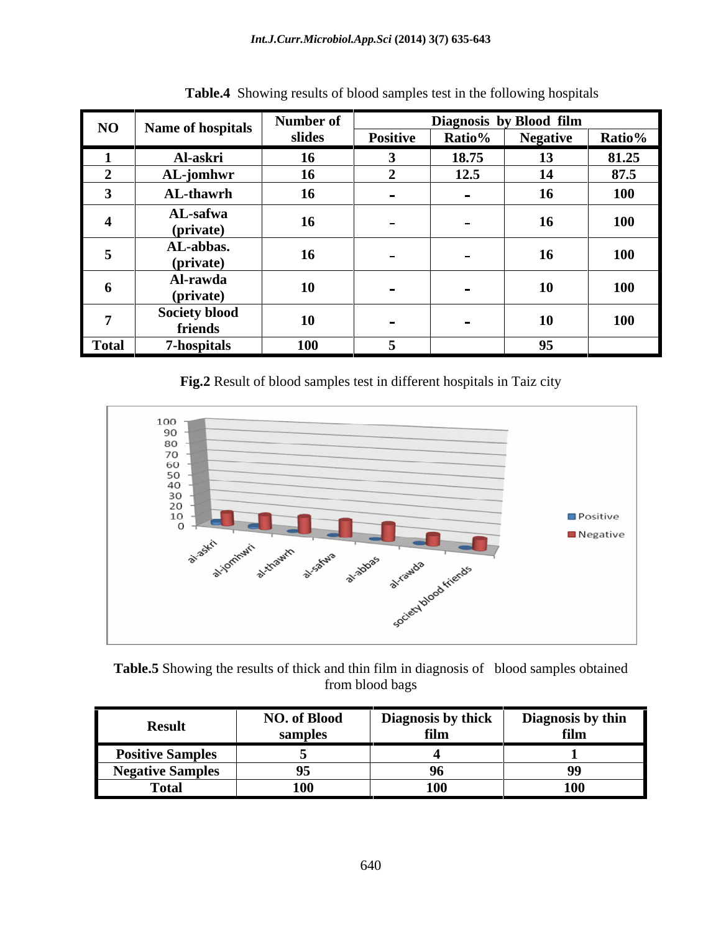|       |                                 | <b>Number of</b> |                 |        | Diagnosis by Blood film |       |
|-------|---------------------------------|------------------|-----------------|--------|-------------------------|-------|
|       | NO   Name of hospitals          | slides           | <b>Positive</b> | Ratio% | Negative Ratio%         |       |
|       | Al-askri                        |                  |                 | 18.75  |                         | 81.25 |
|       | <b>AL-jomhwr</b>                |                  |                 | 12.5   |                         | 87.5  |
|       | <b>AL-thawrh</b>                |                  |                 |        |                         | 100   |
|       | AL-safwa<br>(private)           |                  |                 |        |                         | 100   |
|       | AL-abbas.<br>(private)          |                  |                 |        |                         | 100   |
|       | Al-rawda<br>(private)           |                  |                 |        | 10                      | 100   |
|       | <b>Society blood</b><br>friends |                  |                 |        | 10                      | 100   |
| Total | <b>7-hospitals</b>              | 100              |                 |        |                         |       |

**Table.4** Showing results of blood samples test in the following hospitals

**Fig.2** Result of blood samples test in different hospitals in Taiz city



**Table.5** Showing the results of thick and thin film in diagnosis of blood samples obtained from blood bags

|                         | <b>NO. of Blood</b> | <b>Diagnosis by thick</b> | Diagnosis by thin |
|-------------------------|---------------------|---------------------------|-------------------|
| Result                  | sample <sup>,</sup> |                           | 111111            |
| <b>Positive Samples</b> |                     |                           |                   |
| <b>Negative Samples</b> | $\mathbf{A}$        |                           | $\mathbf{a}$      |
| Total                   | $100 -$<br>TÛ       | $100 -$<br>TVV            | $100 -$<br>TVV    |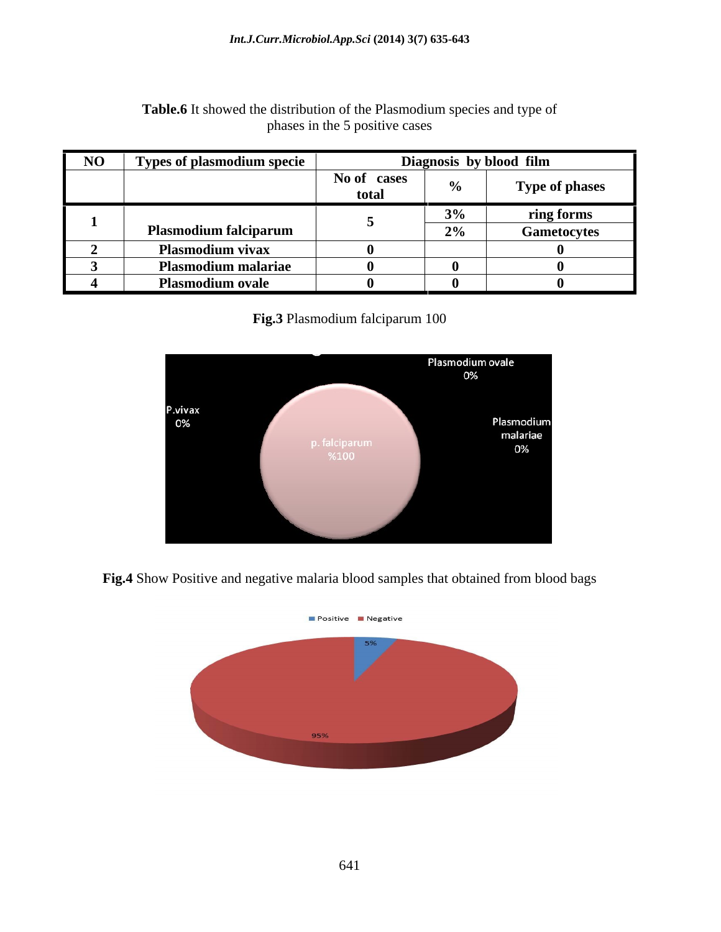| Types of plasmodium specie   |                      | Diagnosis by blood film                      |                       |
|------------------------------|----------------------|----------------------------------------------|-----------------------|
|                              | No of cases<br>total |                                              | <b>Type of phases</b> |
|                              |                      | the control of the control of the control of | ring forms            |
| <b>Plasmodium falciparum</b> |                      | $\angle 70$                                  | Gametocytes           |
| Plasmodium vivax             |                      |                                              |                       |
| <b>Plasmodium malariae</b>   |                      |                                              |                       |
| <b>Plasmodium ovale</b>      |                      |                                              |                       |

### Table.6 It showed the distribution of the Plasmodium species and type of phases in the 5 positive cases

**Fig.3** Plasmodium falciparum 100



**Fig.4** Show Positive and negative malaria blood samples that obtained from blood bags

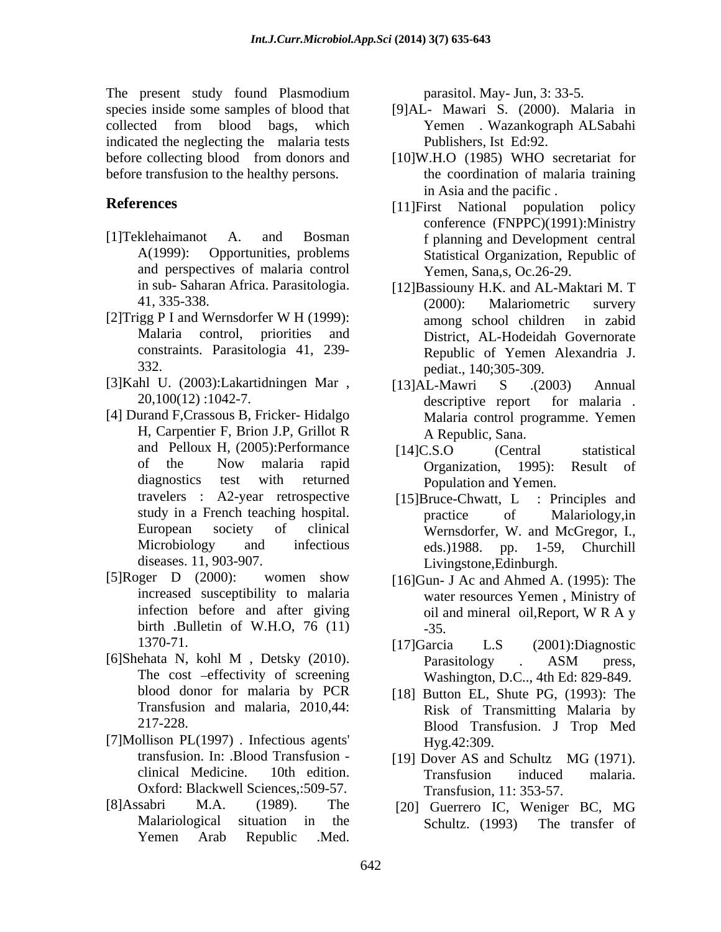The present study found Plasmodium species inside some samples of blood that [9]AL- Mawari S. (2000). Malaria in collected from blood bags, which indicated the neglecting the malaria tests before collecting blood from donors and [10]W.H.O (1985) WHO secretariat for before transfusion to the healthy persons.

- and perspectives of malaria control
- 
- [3]Kahl U. (2003):Lakartidningen Mar ,
- H, Carpentier F, Brion J.P, Grillot R and Pelloux H, (2005):Performance [14]C.S.O (Central statistical travelers : A2-year retrospective [15]Bruce-Chwatt, L : Principles and
- [5]Roger D (2000): women show [16]Gun- J Ac and Ahmed A. (1995): The birth .Bulletin of W.H.O, 76 (11) -35.
- Transfusion and malaria, 2010,44:
- [7]Mollison PL $(1997)$ . Infectious agents' Hyg.42:309. Oxford: Blackwell Sciences,:509-57.
- [8]Assabri M.A. (1989). The [20] Guerrero IC, Weniger BC, MG Yemen Arab Republic .Med.

parasitol. May- Jun, 3: 33-5.

- Yemen . Wazankograph ALSabahi Publishers, Ist Ed:92.
- the coordination of malaria training in Asia and the pacific .
- **References** [11]First National population policy [1]Teklehaimanot A. and Bosman f planning and Development central A(1999): Opportunities, problems Statistical Organization, Republic of conference (FNPPC)(1991):Ministry Yemen, Sana,s, Oc.26-29.
- in sub- Saharan Africa. Parasitologia. [12]Bassiouny H.K. and AL-Maktari M. T 41, 335-338. (2000): Malariometric survery [2]Trigg P I and Wernsdorfer W H (1999): among school children in zabid Malaria control, priorities and District, AL-Hodeidah Governorate constraints. Parasitologia 41, 239- Republic of Yemen Alexandria J. 332. pediat., 140;305-309. (2000): Malariometric survery among school children in zabid
- 20,100(12) :1042-7.<br>
[4] Durand F,Crassous B, Fricker- Hidalgo Malaria control programme Yemen [13]AL-Mawri S .(2003) Annual descriptive report for malaria . Malaria control programme. Yemen A Republic, Sana.
	- of the Now malaria rapid diagnostics test with returned Population and Yemen. [14]C.S.O (Central statistical Organization, 1995): Result of Population and Yemen.
	- study in a French teaching hospital. The practice of Malariology, in European society of clinical Wernsdorfer, W. and McGregor, I., Microbiology and infectious eds.)1988. pp. 1-59, Churchill diseases. 11, 903-907. Livingstone,Edinburgh. [15]Bruce-Chwatt, L : Principles and practice of Malariology,in eds.)1988. pp. 1-59, Churchill
	- increased susceptibility to malaria water resources Yemen , Ministry of infection before and after giving  $\qquad$  oil and mineral oil, Report, W R A y oil and mineral oil,Report, W R A y -35.
- 1370-71. [17] Garcia L.S (2001): Diagnostic [6]Shehata N, kohl M , Detsky (2010). The cost –effectivity of screening Washington, D.C.., 4th Ed: 829-849. [17]Garcia L.S (2001):Diagnostic Parasitology . ASM press,
	- blood donor for malaria by PCR [18] Button EL, Shute PG, (1993): The 217-228. Blood Transfusion. J Trop Med Risk of Transmitting Malaria by Hyg.42:309.
	- transfusion. In: .Blood Transfusion [19] Dover AS and Schultz MG (1971). clinical Medicine. 10th edition. Transfusion induced malaria. Transfusion, 11: 353-57.
	- Malariological situation in the Schultz (1993) The transfer of Schultz. (1993) The transfer of